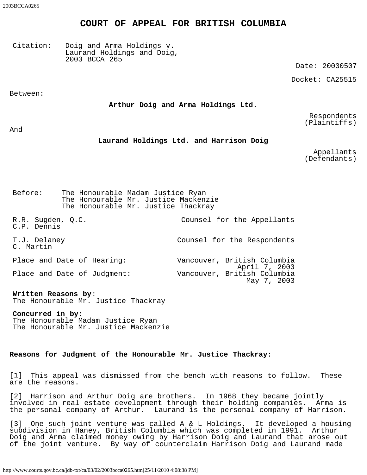## **COURT OF APPEAL FOR BRITISH COLUMBIA**

Citation: Doig and Arma Holdings v. Laurand Holdings and Doig, 2003 BCCA 265

Date: 20030507

Docket: CA25515

Between:

**Arthur Doig and Arma Holdings Ltd.**

Respondents (Plaintiffs)

And

**Laurand Holdings Ltd. and Harrison Doig**

Appellants (Defendants)

Before: The Honourable Madam Justice Ryan The Honourable Mr. Justice Mackenzie The Honourable Mr. Justice Thackray

R.R. Sugden, Q.C. C.P. Dennis Counsel for the Appellants T.J. Delaney C. Martin Counsel for the Respondents Place and Date of Hearing: Vancouver, British Columbia April 7, 2003 Place and Date of Judgment: Vancouver, British Columbia May 7, 2003

**Written Reasons by**: The Honourable Mr. Justice Thackray

**Concurred in by:** The Honourable Madam Justice Ryan The Honourable Mr. Justice Mackenzie

## **Reasons for Judgment of the Honourable Mr. Justice Thackray:**

[1] This appeal was dismissed from the bench with reasons to follow. These are the reasons.

[2] Harrison and Arthur Doig are brothers. In 1968 they became jointly involved in real estate development through their holding companies. Arma is the personal company of Arthur. Laurand is the personal company of Harrison.

[3] One such joint venture was called A & L Holdings. It developed a housing subdivision in Haney, British Columbia which was completed in 1991. Arthur Doig and Arma claimed money owing by Harrison Doig and Laurand that arose out of the joint venture. By way of counterclaim Harrison Doig and Laurand made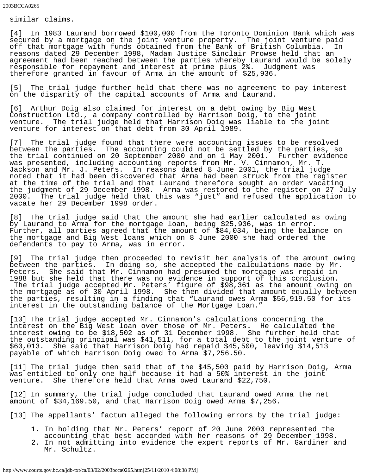similar claims.

[4] In 1983 Laurand borrowed \$100,000 from the Toronto Dominion Bank which was secured by a mortgage on the joint venture property. The joint venture paid off that mortgage with funds obtained from the Bank of British Columbia. In reasons dated 29 December 1998, Madam Justice Sinclair Prowse held that an agreement had been reached between the parties whereby Laurand would be solely responsible for repayment and interest at prime plus 2%. Judgment was therefore granted in favour of Arma in the amount of \$25,936.

[5] The trial judge further held that there was no agreement to pay interest on the disparity of the capital accounts of Arma and Laurand.

[6] Arthur Doig also claimed for interest on a debt owing by Big West Construction Ltd., a company controlled by Harrison Doig, to the joint venture. The trial judge held that Harrison Doig was liable to the joint venture for interest on that debt from 30 April 1989.

[7] The trial judge found that there were accounting issues to be resolved between the parties. The accounting could not be settled by the parties, so the trial continued on 20 September 2000 and on 1 May 2001. Further evidence was presented, including accounting reports from Mr. V. Cinnamon, Mr. T. Jackson and Mr. J. Peters. In reasons dated 8 June 2001, the trial judge noted that it had been discovered that Arma had been struck from the register at the time of the trial and that Laurand therefore sought an order vacating the judgment of 29 December 1998. Arma was restored to the register on 27 July 2000. The trial judge held that this was "just" and refused the application to vacate her 29 December 1998 order.

[8] The trial judge said that the amount she had earlier\_calculated as owing by Laurand to Arma for the mortgage loan, being \$25,936, was in error. Further, all parties agreed that the amount of \$84,034, being the balance on the mortgage and Big West loans which on 8 June 2000 she had ordered the defendants to pay to Arma, was in error.

[9] The trial judge then proceeded to revisit her analysis of the amount owing between the parties. In doing so, she accepted the calculations made by Mr. Peters. She said that Mr. Cinnamon had presumed the mortgage was repaid in 1988 but she held that there was no evidence in support of this conclusion. The trial judge accepted Mr. Peters' figure of \$98,361 as the amount owing on the mortgage as of 30 April 1998. She then divided that amount equally between the parties, resulting in a finding that "Laurand owes Arma \$56,919.50 for its interest in the outstanding balance of the Mortgage Loan."

[10] The trial judge accepted Mr. Cinnamon's calculations concerning the interest on the Big West loan over those of Mr. Peters**.** He calculated the interest owing to be \$18,502 as of 31 December 1998. She further held that the outstanding principal was \$41,511, for a total debt to the joint venture of \$60,013. She said that Harrison Doig had repaid \$45,500, leaving \$14,513 payable of which Harrison Doig owed to Arma \$7,256.50.

[11] The trial judge then said that of the \$45,500 paid by Harrison Doig, Arma was entitled to only one-half because it had a 50% interest in the joint venture. She therefore held that Arma owed Laurand \$22,750.

[12] In summary, the trial judge concluded that Laurand owed Arma the net amount of \$34,169.50, and that Harrison Doig owed Arma \$7,256.

[13] The appellants' factum alleged the following errors by the trial judge:

- 1. In holding that Mr. Peters' report of 20 June 2000 represented the accounting that best accorded with her reasons of 29 December 1998.
- 2. In not admitting into evidence the expert reports of Mr. Gardiner and Mr. Schultz.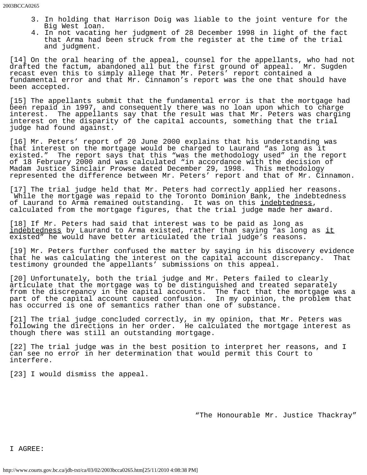- 3. In holding that Harrison Doig was liable to the joint venture for the Big West loan.
- 4. In not vacating her judgment of 28 December 1998 in light of the fact that Arma had been struck from the register at the time of the trial and judgment.

[14] On the oral hearing of the appeal, counsel for the appellants, who had not drafted the factum, abandoned all but the first ground of appeal. Mr. Sugden recast even this to simply allege that Mr. Peters' report contained a fundamental error and that Mr. Cinnamon's report was the one that should have been accepted.

[15] The appellants submit that the fundamental error is that the mortgage had been repaid in 1997, and consequently there was no loan upon which to charge interest. The appellants say that the result was that Mr. Peters was charging interest on the disparity of the capital accounts, something that the trial judge had found against.

[16] Mr. Peters' report of 20 June 2000 explains that his understanding was that interest on the mortgage would be charged to Laurand "as long as it existed." The report says that this "was the methodology used" in the report of 18 February 2000 and was calculated "in accordance with the decision of Madam Justice Sinclair Prowse dated December 29, 1998. This methodology represented the difference between Mr. Peters' report and that of Mr. Cinnamon.

[17] The trial judge held that Mr. Peters had correctly applied her reasons. While the mortgage was repaid to the Toronto Dominion Bank, the indebtedness<br>of Laurand to Arma remained outstanding. It was on this indebtedness, calculated from the mortgage figures, that the trial judge made her award.

[18] If Mr. Peters had said that interest was to be paid as long as indebtedness by Laurand to Arma existed, rather than saying "as long as it existed" he would have better articulated the trial judge's reasons.

[19] Mr. Peters further confused the matter by saying in his discovery evidence that he was calculating the interest on the capital account discrepancy. That testimony grounded the appellants' submissions on this appeal.

[20] Unfortunately, both the trial judge and Mr. Peters failed to clearly articulate that the mortgage was to be distinguished and treated separately from the discrepancy in the capital accounts. The fact that the mortgage was a part of the capital account caused confusion. In my opinion, the problem that has occurred is one of semantics rather than one of substance.

[21] The trial judge concluded correctly, in my opinion, that Mr. Peters was following the directions in her order. He calculated the mortgage interest as though there was still an outstanding mortgage.

[22] The trial judge was in the best position to interpret her reasons, and I can see no error in her determination that would permit this Court to interfere.

[23] I would dismiss the appeal.

"The Honourable Mr. Justice Thackray"

I AGREE: